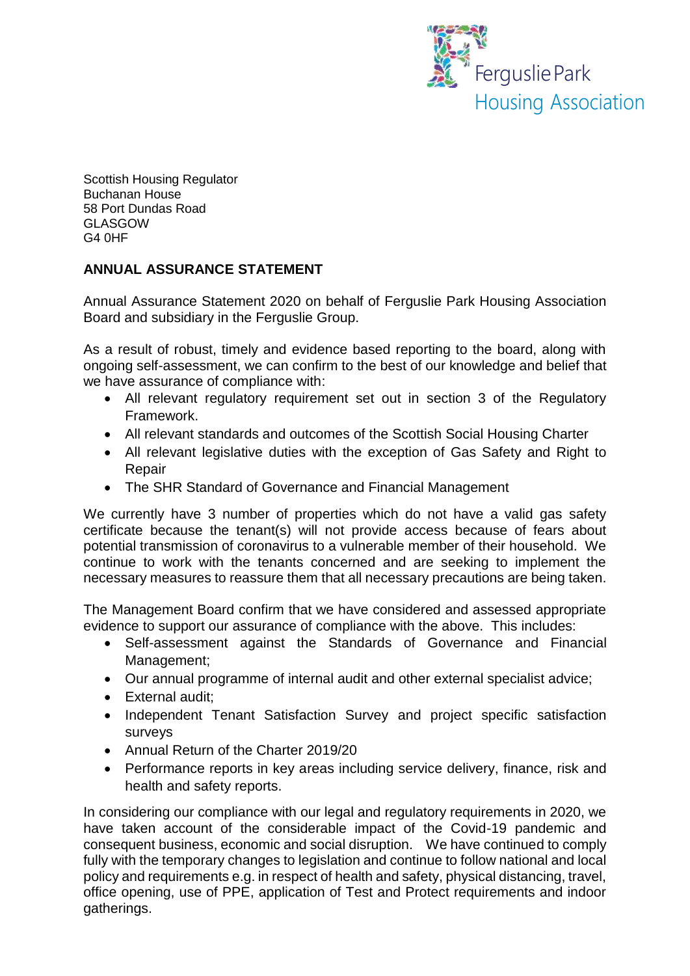

Scottish Housing Regulator Buchanan House 58 Port Dundas Road GLASGOW G4 0HF

## **ANNUAL ASSURANCE STATEMENT**

Annual Assurance Statement 2020 on behalf of Ferguslie Park Housing Association Board and subsidiary in the Ferguslie Group.

As a result of robust, timely and evidence based reporting to the board, along with ongoing self-assessment, we can confirm to the best of our knowledge and belief that we have assurance of compliance with:

- All relevant regulatory requirement set out in section 3 of the Regulatory Framework.
- All relevant standards and outcomes of the Scottish Social Housing Charter
- All relevant legislative duties with the exception of Gas Safety and Right to Repair
- The SHR Standard of Governance and Financial Management

We currently have 3 number of properties which do not have a valid gas safety certificate because the tenant(s) will not provide access because of fears about potential transmission of coronavirus to a vulnerable member of their household. We continue to work with the tenants concerned and are seeking to implement the necessary measures to reassure them that all necessary precautions are being taken.

The Management Board confirm that we have considered and assessed appropriate evidence to support our assurance of compliance with the above. This includes:

- Self-assessment against the Standards of Governance and Financial Management;
- Our annual programme of internal audit and other external specialist advice;
- External audit;
- Independent Tenant Satisfaction Survey and project specific satisfaction surveys
- Annual Return of the Charter 2019/20
- Performance reports in key areas including service delivery, finance, risk and health and safety reports.

In considering our compliance with our legal and regulatory requirements in 2020, we have taken account of the considerable impact of the Covid-19 pandemic and consequent business, economic and social disruption. We have continued to comply fully with the temporary changes to legislation and continue to follow national and local policy and requirements e.g. in respect of health and safety, physical distancing, travel, office opening, use of PPE, application of Test and Protect requirements and indoor gatherings.